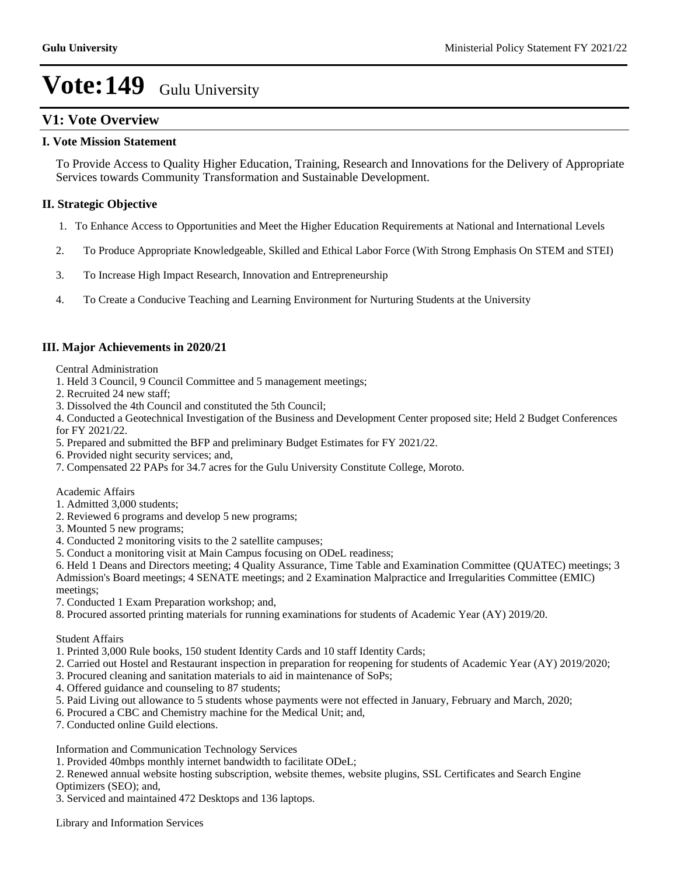### **V1: Vote Overview**

### **I. Vote Mission Statement**

To Provide Access to Quality Higher Education, Training, Research and Innovations for the Delivery of Appropriate Services towards Community Transformation and Sustainable Development.

### **II. Strategic Objective**

- 1. To Enhance Access to Opportunities and Meet the Higher Education Requirements at National and International Levels
- 2. To Produce Appropriate Knowledgeable, Skilled and Ethical Labor Force (With Strong Emphasis On STEM and STEI)
- 3. To Increase High Impact Research, Innovation and Entrepreneurship
- 4. To Create a Conducive Teaching and Learning Environment for Nurturing Students at the University

### **III. Major Achievements in 2020/21**

Central Administration

- 1. Held 3 Council, 9 Council Committee and 5 management meetings;
- 2. Recruited 24 new staff;
- 3. Dissolved the 4th Council and constituted the 5th Council;

4. Conducted a Geotechnical Investigation of the Business and Development Center proposed site; Held 2 Budget Conferences for FY 2021/22.

- 5. Prepared and submitted the BFP and preliminary Budget Estimates for FY 2021/22.
- 6. Provided night security services; and,
- 7. Compensated 22 PAPs for 34.7 acres for the Gulu University Constitute College, Moroto.

Academic Affairs

- 1. Admitted 3,000 students;
- 2. Reviewed 6 programs and develop 5 new programs;
- 3. Mounted 5 new programs;
- 4. Conducted 2 monitoring visits to the 2 satellite campuses;
- 5. Conduct a monitoring visit at Main Campus focusing on ODeL readiness;

6. Held 1 Deans and Directors meeting; 4 Quality Assurance, Time Table and Examination Committee (QUATEC) meetings; 3 Admission's Board meetings; 4 SENATE meetings; and 2 Examination Malpractice and Irregularities Committee (EMIC) meetings;

- 7. Conducted 1 Exam Preparation workshop; and,
- 8. Procured assorted printing materials for running examinations for students of Academic Year (AY) 2019/20.

Student Affairs

- 1. Printed 3,000 Rule books, 150 student Identity Cards and 10 staff Identity Cards;
- 2. Carried out Hostel and Restaurant inspection in preparation for reopening for students of Academic Year (AY) 2019/2020;
- 3. Procured cleaning and sanitation materials to aid in maintenance of SoPs;
- 4. Offered guidance and counseling to 87 students;
- 5. Paid Living out allowance to 5 students whose payments were not effected in January, February and March, 2020;
- 6. Procured a CBC and Chemistry machine for the Medical Unit; and,
- 7. Conducted online Guild elections.

Information and Communication Technology Services

- 1. Provided 40mbps monthly internet bandwidth to facilitate ODeL;
- 2. Renewed annual website hosting subscription, website themes, website plugins, SSL Certificates and Search Engine Optimizers (SEO); and,
- 3. Serviced and maintained 472 Desktops and 136 laptops.

Library and Information Services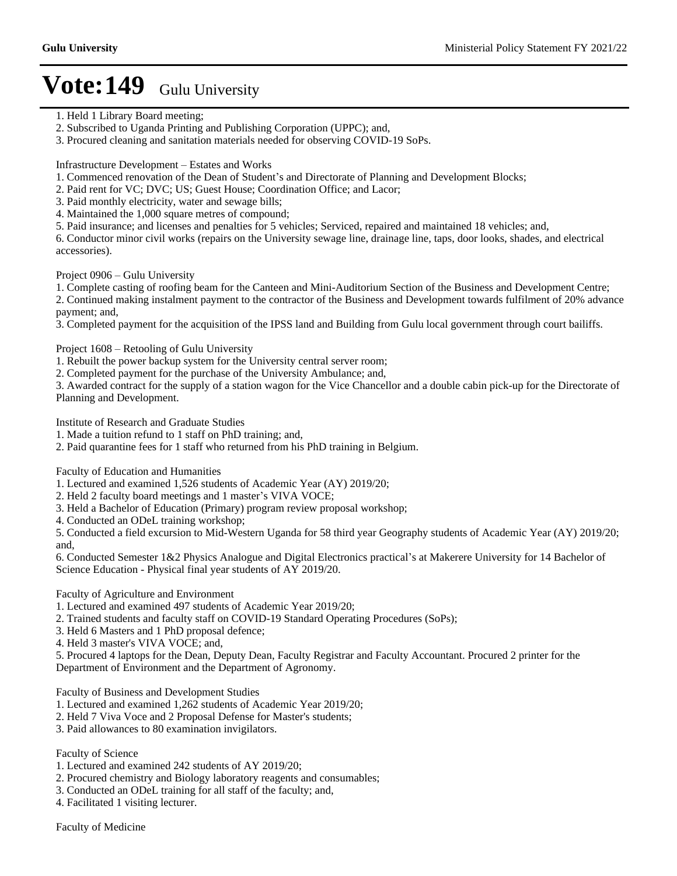- 1. Held 1 Library Board meeting;
- 2. Subscribed to Uganda Printing and Publishing Corporation (UPPC); and,
- 3. Procured cleaning and sanitation materials needed for observing COVID-19 SoPs.

Infrastructure Development - Estates and Works

- 1. Commenced renovation of the Dean of Student's and Directorate of Planning and Development Blocks;
- 2. Paid rent for VC; DVC; US; Guest House; Coordination Office; and Lacor;
- 3. Paid monthly electricity, water and sewage bills;
- 4. Maintained the 1,000 square metres of compound;
- 5. Paid insurance; and licenses and penalties for 5 vehicles; Serviced, repaired and maintained 18 vehicles; and,

6. Conductor minor civil works (repairs on the University sewage line, drainage line, taps, door looks, shades, and electrical accessories).

Project 0906 – Gulu University

1. Complete casting of roofing beam for the Canteen and Mini-Auditorium Section of the Business and Development Centre;

2. Continued making instalment payment to the contractor of the Business and Development towards fulfilment of 20% advance payment; and,

3. Completed payment for the acquisition of the IPSS land and Building from Gulu local government through court bailiffs.

Project 1608 – Retooling of Gulu University

1. Rebuilt the power backup system for the University central server room;

2. Completed payment for the purchase of the University Ambulance; and,

3. Awarded contract for the supply of a station wagon for the Vice Chancellor and a double cabin pick-up for the Directorate of Planning and Development.

Institute of Research and Graduate Studies

1. Made a tuition refund to 1 staff on PhD training; and,

2. Paid quarantine fees for 1 staff who returned from his PhD training in Belgium.

Faculty of Education and Humanities

1. Lectured and examined 1,526 students of Academic Year (AY) 2019/20;

2. Held 2 faculty board meetings and 1 master's VIVA VOCE;

3. Held a Bachelor of Education (Primary) program review proposal workshop;

4. Conducted an ODeL training workshop;

5. Conducted a field excursion to Mid-Western Uganda for 58 third year Geography students of Academic Year (AY) 2019/20; and,

6. Conducted Semester 1&2 Physics Analogue and Digital Electronics practical's at Makerere University for 14 Bachelor of Science Education - Physical final year students of AY 2019/20.

Faculty of Agriculture and Environment

1. Lectured and examined 497 students of Academic Year 2019/20;

2. Trained students and faculty staff on COVID-19 Standard Operating Procedures (SoPs);

3. Held 6 Masters and 1 PhD proposal defence;

4. Held 3 master's VIVA VOCE; and,

5. Procured 4 laptops for the Dean, Deputy Dean, Faculty Registrar and Faculty Accountant. Procured 2 printer for the Department of Environment and the Department of Agronomy.

Faculty of Business and Development Studies

1. Lectured and examined 1,262 students of Academic Year 2019/20;

2. Held 7 Viva Voce and 2 Proposal Defense for Master's students;

3. Paid allowances to 80 examination invigilators.

Faculty of Science

- 1. Lectured and examined 242 students of AY 2019/20;
- 2. Procured chemistry and Biology laboratory reagents and consumables;
- 3. Conducted an ODeL training for all staff of the faculty; and,

4. Facilitated 1 visiting lecturer.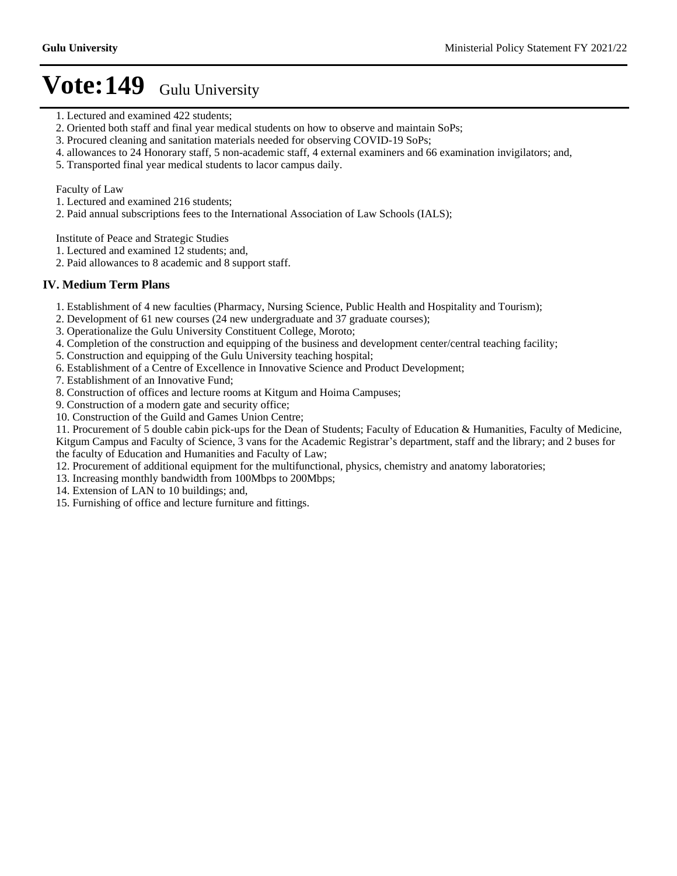- 1. Lectured and examined 422 students;
- 2. Oriented both staff and final year medical students on how to observe and maintain SoPs;
- 3. Procured cleaning and sanitation materials needed for observing COVID-19 SoPs;
- 4. allowances to 24 Honorary staff, 5 non-academic staff, 4 external examiners and 66 examination invigilators; and,
- 5. Transported final year medical students to lacor campus daily.

### Faculty of Law

- 1. Lectured and examined 216 students;
- 2. Paid annual subscriptions fees to the International Association of Law Schools (IALS);

Institute of Peace and Strategic Studies

1. Lectured and examined 12 students; and,

2. Paid allowances to 8 academic and 8 support staff.

### **IV. Medium Term Plans**

- 1. Establishment of 4 new faculties (Pharmacy, Nursing Science, Public Health and Hospitality and Tourism);
- 2. Development of 61 new courses (24 new undergraduate and 37 graduate courses);
- 3. Operationalize the Gulu University Constituent College, Moroto;
- 4. Completion of the construction and equipping of the business and development center/central teaching facility;
- 5. Construction and equipping of the Gulu University teaching hospital;
- 6. Establishment of a Centre of Excellence in Innovative Science and Product Development;
- 7. Establishment of an Innovative Fund;
- 8. Construction of offices and lecture rooms at Kitgum and Hoima Campuses;

9. Construction of a modern gate and security office;

10. Construction of the Guild and Games Union Centre;

11. Procurement of 5 double cabin pick-ups for the Dean of Students; Faculty of Education & Humanities, Faculty of Medicine, Kitgum Campus and Faculty of Science, 3 vans for the Academic Registrar's department, staff and the library; and 2 buses for the faculty of Education and Humanities and Faculty of Law;

- 12. Procurement of additional equipment for the multifunctional, physics, chemistry and anatomy laboratories;
- 13. Increasing monthly bandwidth from 100Mbps to 200Mbps;
- 14. Extension of LAN to 10 buildings; and,

15. Furnishing of office and lecture furniture and fittings.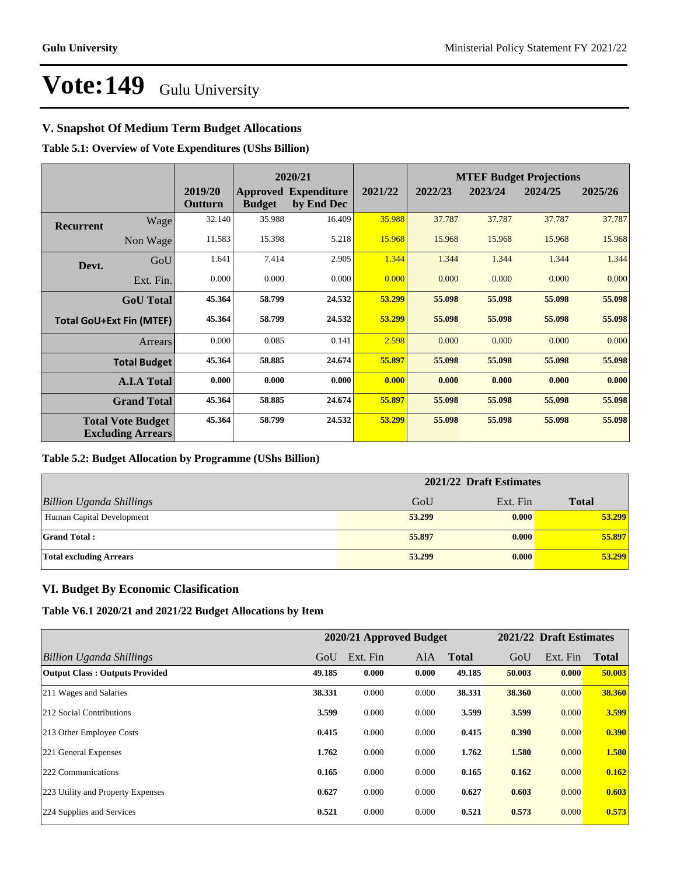### **V. Snapshot Of Medium Term Budget Allocations**

**Table 5.1: Overview of Vote Expenditures (UShs Billion)**

|                  |                                                      | 2020/21            |               |                                           |         |         |         | <b>MTEF Budget Projections</b> |         |
|------------------|------------------------------------------------------|--------------------|---------------|-------------------------------------------|---------|---------|---------|--------------------------------|---------|
|                  |                                                      | 2019/20<br>Outturn | <b>Budget</b> | <b>Approved Expenditure</b><br>by End Dec | 2021/22 | 2022/23 | 2023/24 | 2024/25                        | 2025/26 |
| <b>Recurrent</b> | Wage                                                 | 32.140             | 35.988        | 16.409                                    | 35.988  | 37.787  | 37.787  | 37.787                         | 37.787  |
|                  | Non Wage                                             | 11.583             | 15.398        | 5.218                                     | 15.968  | 15.968  | 15.968  | 15.968                         | 15.968  |
| Devt.            | GoU                                                  | 1.641              | 7.414         | 2.905                                     | 1.344   | 1.344   | 1.344   | 1.344                          | 1.344   |
|                  | Ext. Fin.                                            | 0.000              | 0.000         | 0.000                                     | 0.000   | 0.000   | 0.000   | 0.000                          | 0.000   |
|                  | <b>GoU</b> Total                                     | 45.364             | 58.799        | 24.532                                    | 53.299  | 55.098  | 55.098  | 55.098                         | 55.098  |
|                  | <b>Total GoU+Ext Fin (MTEF)</b>                      | 45.364             | 58.799        | 24.532                                    | 53.299  | 55.098  | 55.098  | 55.098                         | 55.098  |
|                  | Arrears                                              | 0.000              | 0.085         | 0.141                                     | 2.598   | 0.000   | 0.000   | 0.000                          | 0.000   |
|                  | <b>Total Budget</b>                                  | 45.364             | 58.885        | 24.674                                    | 55.897  | 55.098  | 55.098  | 55.098                         | 55.098  |
|                  | <b>A.I.A Total</b>                                   | 0.000              | 0.000         | 0.000                                     | 0.000   | 0.000   | 0.000   | 0.000                          | 0.000   |
|                  | <b>Grand Total</b>                                   | 45.364             | 58.885        | 24.674                                    | 55.897  | 55.098  | 55.098  | 55.098                         | 55.098  |
|                  | <b>Total Vote Budget</b><br><b>Excluding Arrears</b> | 45.364             | 58.799        | 24.532                                    | 53.299  | 55.098  | 55.098  | 55.098                         | 55.098  |

### **Table 5.2: Budget Allocation by Programme (UShs Billion)**

|                                 | 2021/22 Draft Estimates |          |              |  |  |
|---------------------------------|-------------------------|----------|--------------|--|--|
| <b>Billion Uganda Shillings</b> | GoU                     | Ext. Fin | <b>Total</b> |  |  |
| Human Capital Development       | 53,299                  | 0.000    | 53.299       |  |  |
| <b>Grand Total:</b>             | 55,897                  | 0.000    | 55.897       |  |  |
| <b>Total excluding Arrears</b>  | 53,299                  | 0.000    | 53.299       |  |  |

### **VI. Budget By Economic Clasification**

**Table V6.1 2020/21 and 2021/22 Budget Allocations by Item**

|                                       |        | 2020/21 Approved Budget |            |              |        | 2021/22 Draft Estimates |              |
|---------------------------------------|--------|-------------------------|------------|--------------|--------|-------------------------|--------------|
| Billion Uganda Shillings              | GoU    | Ext. Fin                | <b>AIA</b> | <b>Total</b> | GoU    | Ext. Fin                | <b>Total</b> |
| <b>Output Class: Outputs Provided</b> | 49.185 | 0.000                   | 0.000      | 49.185       | 50.003 | 0.000                   | 50.003       |
| 211 Wages and Salaries                | 38.331 | 0.000                   | 0.000      | 38.331       | 38.360 | 0.000                   | 38.360       |
| 212 Social Contributions              | 3.599  | 0.000                   | 0.000      | 3.599        | 3.599  | 0.000                   | 3.599        |
| 213 Other Employee Costs              | 0.415  | 0.000                   | 0.000      | 0.415        | 0.390  | 0.000                   | 0.390        |
| 221 General Expenses                  | 1.762  | 0.000                   | 0.000      | 1.762        | 1.580  | 0.000                   | 1.580        |
| 222 Communications                    | 0.165  | 0.000                   | 0.000      | 0.165        | 0.162  | 0.000                   | 0.162        |
| 223 Utility and Property Expenses     | 0.627  | 0.000                   | 0.000      | 0.627        | 0.603  | 0.000                   | 0.603        |
| 224 Supplies and Services             | 0.521  | 0.000                   | 0.000      | 0.521        | 0.573  | 0.000                   | 0.573        |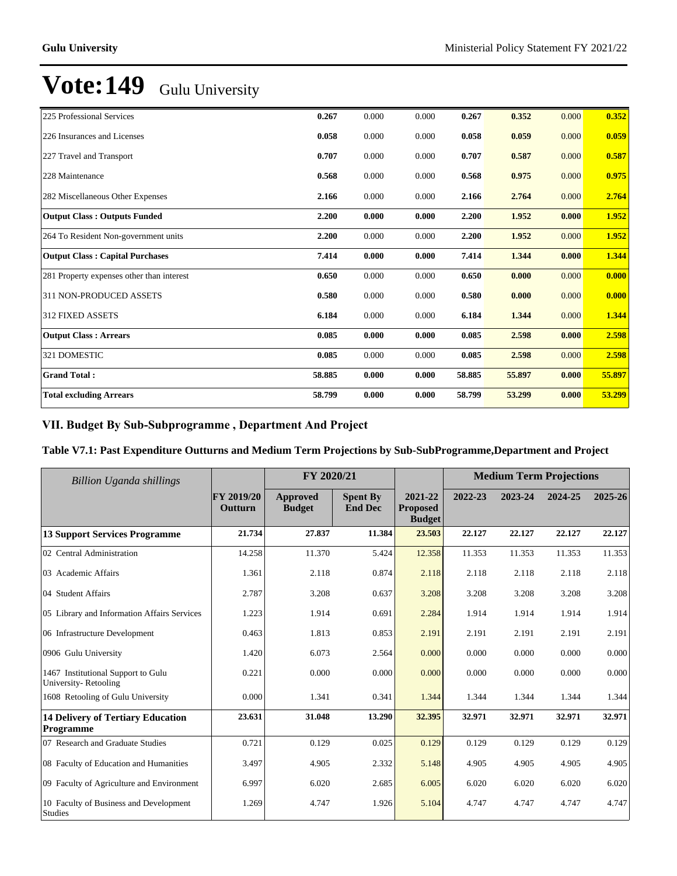| 225 Professional Services                 | 0.267  | 0.000 | 0.000 | 0.267  | 0.352  | 0.000 | 0.352  |
|-------------------------------------------|--------|-------|-------|--------|--------|-------|--------|
| 226 Insurances and Licenses               | 0.058  | 0.000 | 0.000 | 0.058  | 0.059  | 0.000 | 0.059  |
| 227 Travel and Transport                  | 0.707  | 0.000 | 0.000 | 0.707  | 0.587  | 0.000 | 0.587  |
| 228 Maintenance                           | 0.568  | 0.000 | 0.000 | 0.568  | 0.975  | 0.000 | 0.975  |
| 282 Miscellaneous Other Expenses          | 2.166  | 0.000 | 0.000 | 2.166  | 2.764  | 0.000 | 2.764  |
| <b>Output Class: Outputs Funded</b>       | 2.200  | 0.000 | 0.000 | 2.200  | 1.952  | 0.000 | 1.952  |
| 264 To Resident Non-government units      | 2.200  | 0.000 | 0.000 | 2.200  | 1.952  | 0.000 | 1.952  |
| <b>Output Class: Capital Purchases</b>    | 7.414  | 0.000 | 0.000 | 7.414  | 1.344  | 0.000 | 1.344  |
| 281 Property expenses other than interest | 0.650  | 0.000 | 0.000 | 0.650  | 0.000  | 0.000 | 0.000  |
| 311 NON-PRODUCED ASSETS                   | 0.580  | 0.000 | 0.000 | 0.580  | 0.000  | 0.000 | 0.000  |
| 312 FIXED ASSETS                          | 6.184  | 0.000 | 0.000 | 6.184  | 1.344  | 0.000 | 1.344  |
| <b>Output Class: Arrears</b>              | 0.085  | 0.000 | 0.000 | 0.085  | 2.598  | 0.000 | 2.598  |
| 321 DOMESTIC                              | 0.085  | 0.000 | 0.000 | 0.085  | 2.598  | 0.000 | 2.598  |
| <b>Grand Total:</b>                       | 58.885 | 0.000 | 0.000 | 58.885 | 55.897 | 0.000 | 55.897 |
| <b>Total excluding Arrears</b>            | 58.799 | 0.000 | 0.000 | 58.799 | 53.299 | 0.000 | 53.299 |

### VII. Budget By Sub-Subprogramme, Department And Project

### **Table V7.1: Past Expenditure Outturns and Medium Term Projections by Sub-SubProgramme,Department and Project**

| Billion Uganda shillings                                   | FY 2020/21            |                           |                                   |                                             | <b>Medium Term Projections</b> |         |         |         |
|------------------------------------------------------------|-----------------------|---------------------------|-----------------------------------|---------------------------------------------|--------------------------------|---------|---------|---------|
|                                                            | FY 2019/20<br>Outturn | Approved<br><b>Budget</b> | <b>Spent By</b><br><b>End Dec</b> | 2021-22<br><b>Proposed</b><br><b>Budget</b> | 2022-23                        | 2023-24 | 2024-25 | 2025-26 |
| <b>13 Support Services Programme</b>                       | 21.734                | 27.837                    | 11.384                            | 23.503                                      | 22.127                         | 22.127  | 22.127  | 22.127  |
| 02 Central Administration                                  | 14.258                | 11.370                    | 5.424                             | 12.358                                      | 11.353                         | 11.353  | 11.353  | 11.353  |
| 03 Academic Affairs                                        | 1.361                 | 2.118                     | 0.874                             | 2.118                                       | 2.118                          | 2.118   | 2.118   | 2.118   |
| 04 Student Affairs                                         | 2.787                 | 3.208                     | 0.637                             | 3.208                                       | 3.208                          | 3.208   | 3.208   | 3.208   |
| 05 Library and Information Affairs Services                | 1.223                 | 1.914                     | 0.691                             | 2.284                                       | 1.914                          | 1.914   | 1.914   | 1.914   |
| 06 Infrastructure Development                              | 0.463                 | 1.813                     | 0.853                             | 2.191                                       | 2.191                          | 2.191   | 2.191   | 2.191   |
| 0906 Gulu University                                       | 1.420                 | 6.073                     | 2.564                             | 0.000                                       | 0.000                          | 0.000   | 0.000   | 0.000   |
| 1467 Institutional Support to Gulu<br>University-Retooling | 0.221                 | 0.000                     | 0.000                             | 0.000                                       | 0.000                          | 0.000   | 0.000   | 0.000   |
| 1608 Retooling of Gulu University                          | 0.000                 | 1.341                     | 0.341                             | 1.344                                       | 1.344                          | 1.344   | 1.344   | 1.344   |
| <b>14 Delivery of Tertiary Education</b><br>Programme      | 23.631                | 31.048                    | 13.290                            | 32.395                                      | 32.971                         | 32.971  | 32.971  | 32.971  |
| 07 Research and Graduate Studies                           | 0.721                 | 0.129                     | 0.025                             | 0.129                                       | 0.129                          | 0.129   | 0.129   | 0.129   |
| 08 Faculty of Education and Humanities                     | 3.497                 | 4.905                     | 2.332                             | 5.148                                       | 4.905                          | 4.905   | 4.905   | 4.905   |
| 09 Faculty of Agriculture and Environment                  | 6.997                 | 6.020                     | 2.685                             | 6.005                                       | 6.020                          | 6.020   | 6.020   | 6.020   |
| 10 Faculty of Business and Development<br><b>Studies</b>   | 1.269                 | 4.747                     | 1.926                             | 5.104                                       | 4.747                          | 4.747   | 4.747   | 4.747   |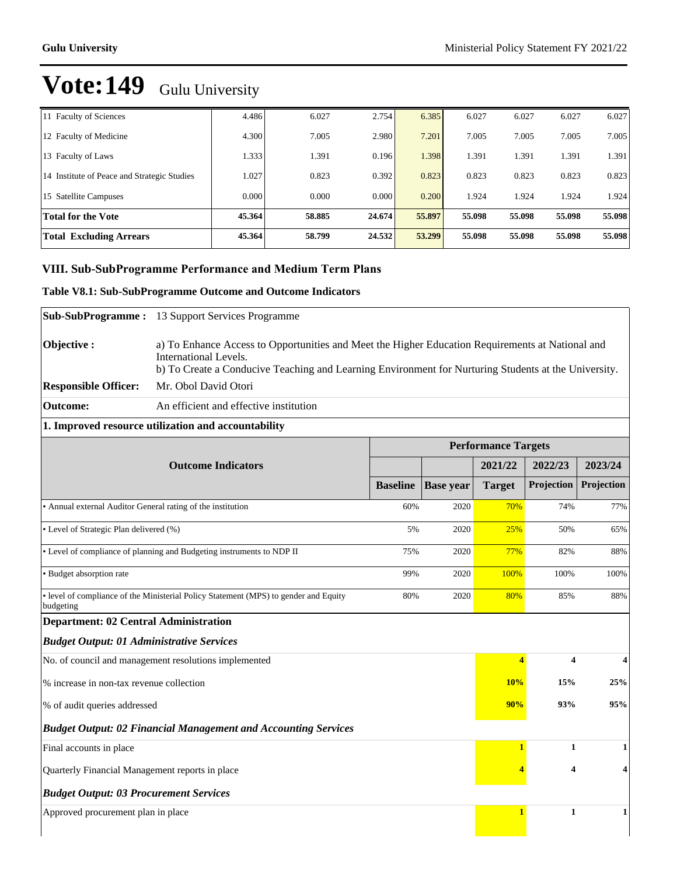| <b>Total Excluding Arrears</b>              | 45.364 | 58.799 | 24.532 | 53,299 | 55.098 | 55.098 | 55.098 | 55.098 |
|---------------------------------------------|--------|--------|--------|--------|--------|--------|--------|--------|
| Total for the Vote                          | 45.364 | 58.885 | 24.674 | 55.897 | 55.098 | 55.098 | 55.098 | 55.098 |
| 15 Satellite Campuses                       | 0.000  | 0.000  | 0.000  | 0.200  | 1.924  | 1.924  | 1.924  | 1.924  |
| 14 Institute of Peace and Strategic Studies | 1.027  | 0.823  | 0.392  | 0.823  | 0.823  | 0.823  | 0.823  | 0.823  |
| 13 Faculty of Laws                          | 1.333  | 1.391  | 0.196  | .398   | 1.391  | 1.391  | 1.391  | 1.391  |
| 12 Faculty of Medicine                      | 4.300  | 7.005  | 2.980  | 7.201  | 7.005  | 7.005  | 7.005  | 7.005  |
| 11 Faculty of Sciences                      | 4.486  | 6.027  | 2.754  | 6.385  | 6.027  | 6.027  | 6.027  | 6.027  |

### **VIII. Sub-SubProgramme Performance and Medium Term Plans**

### **Table V8.1: Sub-SubProgramme Outcome and Outcome Indicators**

| <b>Sub-SubProgramme:</b>                                                             | 13 Support Services Programme                                                                                                                                                                                                            |                 |                  |                            |                         |            |  |  |
|--------------------------------------------------------------------------------------|------------------------------------------------------------------------------------------------------------------------------------------------------------------------------------------------------------------------------------------|-----------------|------------------|----------------------------|-------------------------|------------|--|--|
| Objective:                                                                           | a) To Enhance Access to Opportunities and Meet the Higher Education Requirements at National and<br><b>International Levels.</b><br>b) To Create a Conducive Teaching and Learning Environment for Nurturing Students at the University. |                 |                  |                            |                         |            |  |  |
| <b>Responsible Officer:</b>                                                          | Mr. Obol David Otori                                                                                                                                                                                                                     |                 |                  |                            |                         |            |  |  |
| <b>Outcome:</b>                                                                      | An efficient and effective institution                                                                                                                                                                                                   |                 |                  |                            |                         |            |  |  |
|                                                                                      | 1. Improved resource utilization and accountability                                                                                                                                                                                      |                 |                  |                            |                         |            |  |  |
|                                                                                      |                                                                                                                                                                                                                                          |                 |                  | <b>Performance Targets</b> |                         |            |  |  |
|                                                                                      | <b>Outcome Indicators</b>                                                                                                                                                                                                                |                 |                  | 2021/22                    | 2022/23                 | 2023/24    |  |  |
|                                                                                      |                                                                                                                                                                                                                                          | <b>Baseline</b> | <b>Base</b> year | <b>Target</b>              | Projection              | Projection |  |  |
| • Annual external Auditor General rating of the institution                          |                                                                                                                                                                                                                                          | 60%             | 2020             | 70%                        | 74%                     | 77%        |  |  |
| • Level of Strategic Plan delivered (%)<br>5%<br>2020                                |                                                                                                                                                                                                                                          |                 |                  | 25%                        | 50%                     | 65%        |  |  |
| • Level of compliance of planning and Budgeting instruments to NDP II<br>75%<br>2020 |                                                                                                                                                                                                                                          |                 |                  | 77%                        | 82%                     | 88%        |  |  |
| · Budget absorption rate<br>2020<br>99%                                              |                                                                                                                                                                                                                                          |                 |                  |                            | 100%                    | 100%       |  |  |
| budgeting                                                                            | • level of compliance of the Ministerial Policy Statement (MPS) to gender and Equity                                                                                                                                                     | 80%             | 2020             | 80%                        | 85%                     | 88%        |  |  |
| <b>Department: 02 Central Administration</b>                                         |                                                                                                                                                                                                                                          |                 |                  |                            |                         |            |  |  |
| <b>Budget Output: 01 Administrative Services</b>                                     |                                                                                                                                                                                                                                          |                 |                  |                            |                         |            |  |  |
|                                                                                      | No. of council and management resolutions implemented                                                                                                                                                                                    |                 |                  | $\overline{\mathbf{4}}$    | $\overline{\mathbf{4}}$ | 4          |  |  |
| % increase in non-tax revenue collection                                             |                                                                                                                                                                                                                                          |                 |                  | 10%                        | 15%                     | 25%        |  |  |
| % of audit queries addressed                                                         |                                                                                                                                                                                                                                          |                 |                  | 90%                        | 93%                     | 95%        |  |  |
| <b>Budget Output: 02 Financial Management and Accounting Services</b>                |                                                                                                                                                                                                                                          |                 |                  |                            |                         |            |  |  |
| Final accounts in place                                                              |                                                                                                                                                                                                                                          |                 |                  | $\overline{1}$             | 1                       | 1          |  |  |
| 4<br>Quarterly Financial Management reports in place                                 |                                                                                                                                                                                                                                          |                 |                  |                            |                         | 4          |  |  |
| <b>Budget Output: 03 Procurement Services</b>                                        |                                                                                                                                                                                                                                          |                 |                  |                            |                         |            |  |  |
| Approved procurement plan in place                                                   |                                                                                                                                                                                                                                          |                 |                  | 1                          | $\mathbf{1}$            | 1          |  |  |
|                                                                                      |                                                                                                                                                                                                                                          |                 |                  |                            |                         |            |  |  |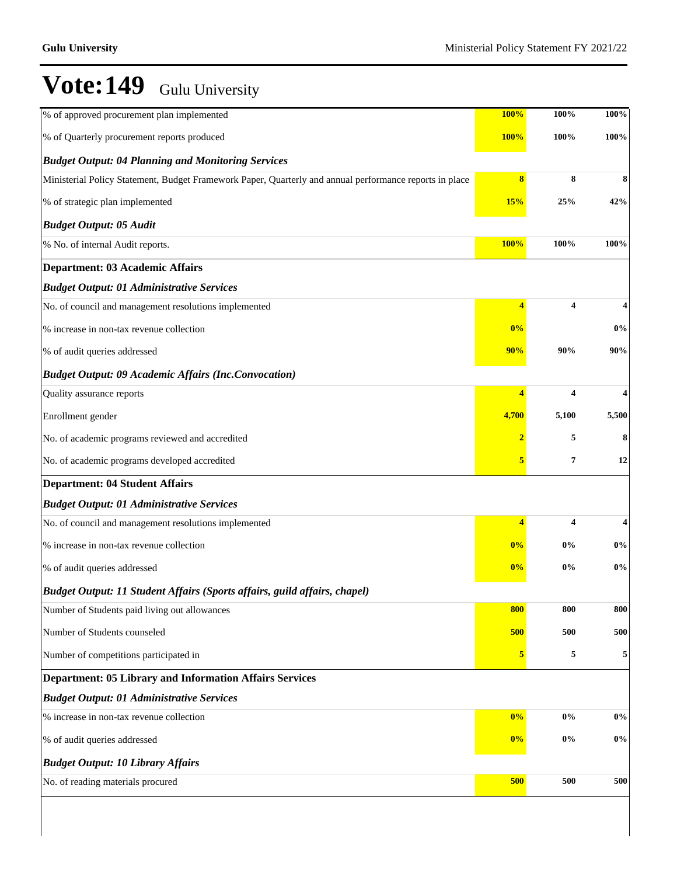| % of approved procurement plan implemented                                                              | <b>100%</b>             | 100%  | $100\%$                 |
|---------------------------------------------------------------------------------------------------------|-------------------------|-------|-------------------------|
| % of Quarterly procurement reports produced                                                             | 100%                    | 100%  | 100%                    |
| <b>Budget Output: 04 Planning and Monitoring Services</b>                                               |                         |       |                         |
| Ministerial Policy Statement, Budget Framework Paper, Quarterly and annual performance reports in place | 8                       | 8     | 8                       |
| % of strategic plan implemented                                                                         | 15%                     | 25%   | 42%                     |
| <b>Budget Output: 05 Audit</b>                                                                          |                         |       |                         |
| % No. of internal Audit reports.                                                                        | 100%                    | 100%  | 100%                    |
| <b>Department: 03 Academic Affairs</b>                                                                  |                         |       |                         |
| <b>Budget Output: 01 Administrative Services</b>                                                        |                         |       |                         |
| No. of council and management resolutions implemented                                                   | 4                       | 4     | 4                       |
| % increase in non-tax revenue collection                                                                | 0%                      |       | $0\%$                   |
| % of audit queries addressed                                                                            | 90%                     | 90%   | 90%                     |
| <b>Budget Output: 09 Academic Affairs (Inc.Convocation)</b>                                             |                         |       |                         |
| Quality assurance reports                                                                               | 4                       | 4     | $\overline{\mathbf{4}}$ |
| Enrollment gender                                                                                       | 4,700                   | 5,100 | 5,500                   |
| No. of academic programs reviewed and accredited                                                        | $\overline{\mathbf{2}}$ | 5     | 8                       |
| No. of academic programs developed accredited                                                           | 5                       | 7     | 12                      |
| <b>Department: 04 Student Affairs</b>                                                                   |                         |       |                         |
| <b>Budget Output: 01 Administrative Services</b>                                                        |                         |       |                         |
| No. of council and management resolutions implemented                                                   | 4                       | 4     | $\overline{\mathbf{4}}$ |
| % increase in non-tax revenue collection                                                                | 0%                      | $0\%$ | $0\%$                   |
| % of audit queries addressed                                                                            | 0%                      | $0\%$ | $0\%$                   |
| Budget Output: 11 Student Affairs (Sports affairs, guild affairs, chapel)                               |                         |       |                         |
| Number of Students paid living out allowances                                                           | 800                     | 800   | 800                     |
| Number of Students counseled                                                                            | 500                     | 500   | 500                     |
| Number of competitions participated in                                                                  | 5                       | 5     | $\sqrt{5}$              |
| <b>Department: 05 Library and Information Affairs Services</b>                                          |                         |       |                         |
| <b>Budget Output: 01 Administrative Services</b>                                                        |                         |       |                         |
| % increase in non-tax revenue collection                                                                | 0%                      | $0\%$ | $0\%$                   |
| % of audit queries addressed                                                                            | 0%                      | $0\%$ | $0\%$                   |
| <b>Budget Output: 10 Library Affairs</b>                                                                |                         |       |                         |
| No. of reading materials procured                                                                       | 500                     | 500   | 500                     |
|                                                                                                         |                         |       |                         |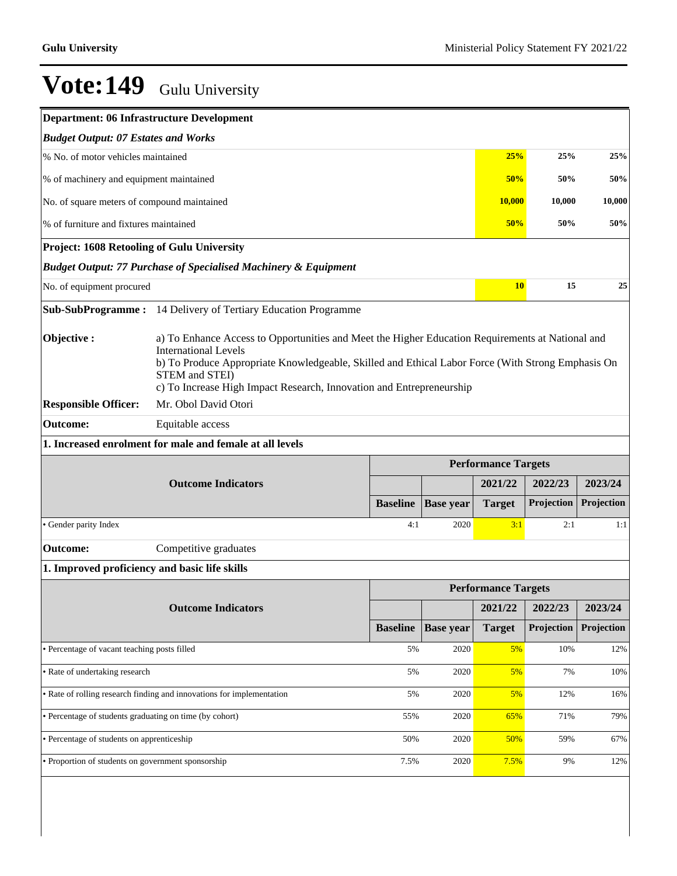| <b>Department: 06 Infrastructure Development</b>                                          |                                                                                                                                                                                                                                                                                                                                                                            |                 |                  |                            |            |            |  |  |
|-------------------------------------------------------------------------------------------|----------------------------------------------------------------------------------------------------------------------------------------------------------------------------------------------------------------------------------------------------------------------------------------------------------------------------------------------------------------------------|-----------------|------------------|----------------------------|------------|------------|--|--|
| <b>Budget Output: 07 Estates and Works</b>                                                |                                                                                                                                                                                                                                                                                                                                                                            |                 |                  |                            |            |            |  |  |
|                                                                                           | % No. of motor vehicles maintained<br>25%<br>25%<br>25%                                                                                                                                                                                                                                                                                                                    |                 |                  |                            |            |            |  |  |
| % of machinery and equipment maintained                                                   |                                                                                                                                                                                                                                                                                                                                                                            |                 |                  | 50%                        | 50%        | 50%        |  |  |
| No. of square meters of compound maintained                                               |                                                                                                                                                                                                                                                                                                                                                                            |                 |                  | <b>10,000</b>              | 10,000     | 10,000     |  |  |
| % of furniture and fixtures maintained                                                    |                                                                                                                                                                                                                                                                                                                                                                            |                 |                  | 50%                        | 50%        | 50%        |  |  |
| <b>Project: 1608 Retooling of Gulu University</b>                                         |                                                                                                                                                                                                                                                                                                                                                                            |                 |                  |                            |            |            |  |  |
|                                                                                           | <b>Budget Output: 77 Purchase of Specialised Machinery &amp; Equipment</b>                                                                                                                                                                                                                                                                                                 |                 |                  |                            |            |            |  |  |
| No. of equipment procured                                                                 |                                                                                                                                                                                                                                                                                                                                                                            |                 |                  | <b>10</b>                  | 15         | 25         |  |  |
| <b>Sub-SubProgramme:</b>                                                                  | 14 Delivery of Tertiary Education Programme                                                                                                                                                                                                                                                                                                                                |                 |                  |                            |            |            |  |  |
| Objective:<br><b>Responsible Officer:</b><br><b>Outcome:</b>                              | a) To Enhance Access to Opportunities and Meet the Higher Education Requirements at National and<br><b>International Levels</b><br>b) To Produce Appropriate Knowledgeable, Skilled and Ethical Labor Force (With Strong Emphasis On<br>STEM and STEI)<br>c) To Increase High Impact Research, Innovation and Entrepreneurship<br>Mr. Obol David Otori<br>Equitable access |                 |                  |                            |            |            |  |  |
|                                                                                           | 1. Increased enrolment for male and female at all levels                                                                                                                                                                                                                                                                                                                   |                 |                  |                            |            |            |  |  |
|                                                                                           |                                                                                                                                                                                                                                                                                                                                                                            |                 |                  | <b>Performance Targets</b> |            |            |  |  |
|                                                                                           | <b>Outcome Indicators</b>                                                                                                                                                                                                                                                                                                                                                  |                 |                  | 2021/22                    | 2022/23    | 2023/24    |  |  |
|                                                                                           |                                                                                                                                                                                                                                                                                                                                                                            | <b>Baseline</b> | <b>Base year</b> | <b>Target</b>              | Projection | Projection |  |  |
| · Gender parity Index                                                                     |                                                                                                                                                                                                                                                                                                                                                                            | 4:1             | 2020             | 3:1                        | 2:1        | 1:1        |  |  |
| <b>Outcome:</b>                                                                           | Competitive graduates                                                                                                                                                                                                                                                                                                                                                      |                 |                  |                            |            |            |  |  |
| 1. Improved proficiency and basic life skills                                             |                                                                                                                                                                                                                                                                                                                                                                            |                 |                  |                            |            |            |  |  |
|                                                                                           |                                                                                                                                                                                                                                                                                                                                                                            |                 |                  | <b>Performance Targets</b> |            |            |  |  |
|                                                                                           | <b>Outcome Indicators</b>                                                                                                                                                                                                                                                                                                                                                  |                 |                  | 2021/22                    | 2022/23    | 2023/24    |  |  |
|                                                                                           |                                                                                                                                                                                                                                                                                                                                                                            | <b>Baseline</b> | <b>Base year</b> | <b>Target</b>              | Projection | Projection |  |  |
| · Percentage of vacant teaching posts filled<br>5%<br>2020<br>5%<br>10%                   |                                                                                                                                                                                                                                                                                                                                                                            |                 |                  |                            |            | 12%        |  |  |
| • Rate of undertaking research<br>5%<br>5%<br>2020                                        |                                                                                                                                                                                                                                                                                                                                                                            |                 |                  |                            | 7%         | 10%        |  |  |
| • Rate of rolling research finding and innovations for implementation<br>5%<br>2020<br>5% |                                                                                                                                                                                                                                                                                                                                                                            |                 |                  |                            | 12%        | 16%        |  |  |
| · Percentage of students graduating on time (by cohort)<br>55%<br>2020<br>65%<br>71%      |                                                                                                                                                                                                                                                                                                                                                                            |                 |                  |                            | 79%        |            |  |  |
| • Percentage of students on apprenticeship<br>50%<br>2020<br>50%                          |                                                                                                                                                                                                                                                                                                                                                                            |                 |                  |                            | 59%        | 67%        |  |  |
| • Proportion of students on government sponsorship                                        |                                                                                                                                                                                                                                                                                                                                                                            | 7.5%            | 2020             | 7.5%                       | 9%         | 12%        |  |  |
|                                                                                           |                                                                                                                                                                                                                                                                                                                                                                            |                 |                  |                            |            |            |  |  |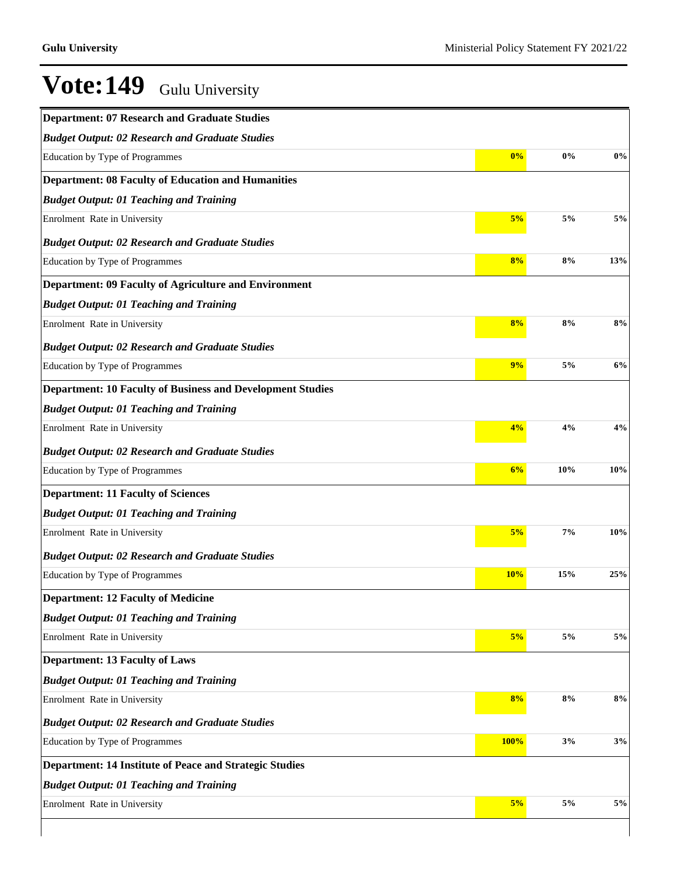| <b>Department: 07 Research and Graduate Studies</b>               |      |       |       |
|-------------------------------------------------------------------|------|-------|-------|
| <b>Budget Output: 02 Research and Graduate Studies</b>            |      |       |       |
| Education by Type of Programmes                                   | 0%   | $0\%$ | 0%    |
| <b>Department: 08 Faculty of Education and Humanities</b>         |      |       |       |
| <b>Budget Output: 01 Teaching and Training</b>                    |      |       |       |
| Enrolment Rate in University                                      | 5%   | 5%    | 5%    |
| <b>Budget Output: 02 Research and Graduate Studies</b>            |      |       |       |
| Education by Type of Programmes                                   | 8%   | 8%    | 13%   |
| <b>Department: 09 Faculty of Agriculture and Environment</b>      |      |       |       |
| <b>Budget Output: 01 Teaching and Training</b>                    |      |       |       |
| Enrolment Rate in University                                      | 8%   | 8%    | 8%    |
| <b>Budget Output: 02 Research and Graduate Studies</b>            |      |       |       |
| <b>Education by Type of Programmes</b>                            | 9%   | 5%    | 6%    |
| <b>Department: 10 Faculty of Business and Development Studies</b> |      |       |       |
| <b>Budget Output: 01 Teaching and Training</b>                    |      |       |       |
| Enrolment Rate in University                                      | 4%   | 4%    | 4%    |
| <b>Budget Output: 02 Research and Graduate Studies</b>            |      |       |       |
| Education by Type of Programmes                                   | 6%   | 10%   | 10%   |
| <b>Department: 11 Faculty of Sciences</b>                         |      |       |       |
| <b>Budget Output: 01 Teaching and Training</b>                    |      |       |       |
| Enrolment Rate in University                                      | 5%   | 7%    | 10%   |
| <b>Budget Output: 02 Research and Graduate Studies</b>            |      |       |       |
| Education by Type of Programmes                                   | 10%  | 15%   | 25%   |
| <b>Department: 12 Faculty of Medicine</b>                         |      |       |       |
| <b>Budget Output: 01 Teaching and Training</b>                    |      |       |       |
| Enrolment Rate in University                                      | 5%   | $5\%$ | $5\%$ |
| <b>Department: 13 Faculty of Laws</b>                             |      |       |       |
| <b>Budget Output: 01 Teaching and Training</b>                    |      |       |       |
| Enrolment Rate in University                                      | 8%   | 8%    | 8%    |
| <b>Budget Output: 02 Research and Graduate Studies</b>            |      |       |       |
| Education by Type of Programmes                                   | 100% | 3%    | 3%    |
| Department: 14 Institute of Peace and Strategic Studies           |      |       |       |
| <b>Budget Output: 01 Teaching and Training</b>                    |      |       |       |
| Enrolment Rate in University                                      | 5%   | 5%    | 5%    |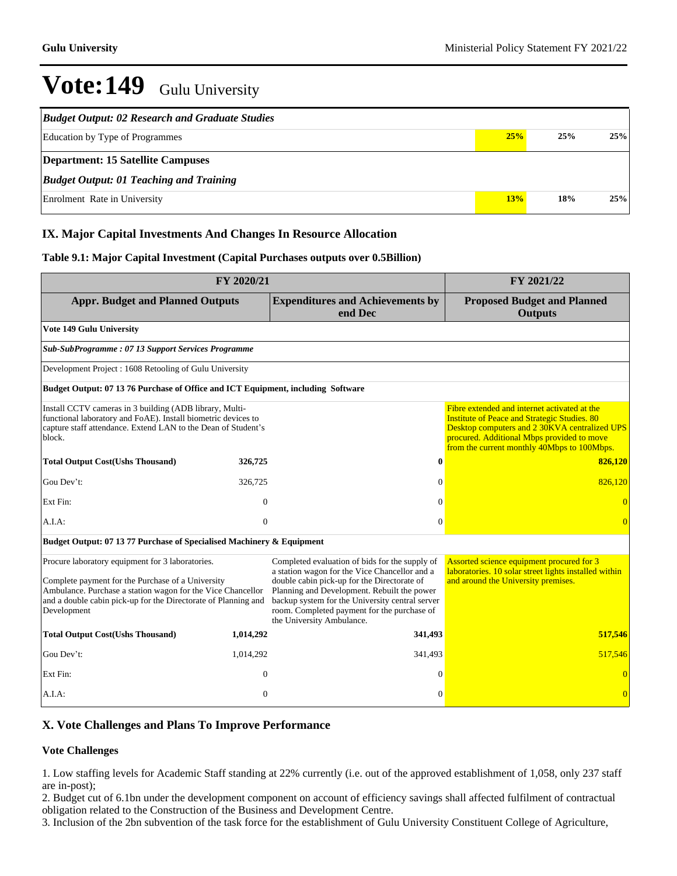| <b>Budget Output: 02 Research and Graduate Studies</b> |     |     |     |
|--------------------------------------------------------|-----|-----|-----|
| <b>Education by Type of Programmes</b>                 | 25% | 25% | 25% |
| <b>Department: 15 Satellite Campuses</b>               |     |     |     |
| <b>Budget Output: 01 Teaching and Training</b>         |     |     |     |
| Enrolment Rate in University                           | 13% | 18% | 25% |

### **IX. Major Capital Investments And Changes In Resource Allocation**

### **Table 9.1: Major Capital Investment (Capital Purchases outputs over 0.5Billion)**

| FY 2020/21                                                                                                                                                                                                                                            |              |                                                                                                                                                                                                                                                                                                                              | FY 2021/22                                                                                                                                                                                                                                        |  |  |  |  |  |
|-------------------------------------------------------------------------------------------------------------------------------------------------------------------------------------------------------------------------------------------------------|--------------|------------------------------------------------------------------------------------------------------------------------------------------------------------------------------------------------------------------------------------------------------------------------------------------------------------------------------|---------------------------------------------------------------------------------------------------------------------------------------------------------------------------------------------------------------------------------------------------|--|--|--|--|--|
| <b>Appr. Budget and Planned Outputs</b>                                                                                                                                                                                                               |              | <b>Expenditures and Achievements by</b><br>end Dec                                                                                                                                                                                                                                                                           | <b>Proposed Budget and Planned</b><br><b>Outputs</b>                                                                                                                                                                                              |  |  |  |  |  |
| Vote 149 Gulu University                                                                                                                                                                                                                              |              |                                                                                                                                                                                                                                                                                                                              |                                                                                                                                                                                                                                                   |  |  |  |  |  |
| Sub-SubProgramme: 07 13 Support Services Programme                                                                                                                                                                                                    |              |                                                                                                                                                                                                                                                                                                                              |                                                                                                                                                                                                                                                   |  |  |  |  |  |
| Development Project: 1608 Retooling of Gulu University                                                                                                                                                                                                |              |                                                                                                                                                                                                                                                                                                                              |                                                                                                                                                                                                                                                   |  |  |  |  |  |
| Budget Output: 07 13 76 Purchase of Office and ICT Equipment, including Software                                                                                                                                                                      |              |                                                                                                                                                                                                                                                                                                                              |                                                                                                                                                                                                                                                   |  |  |  |  |  |
| Install CCTV cameras in 3 building (ADB library, Multi-<br>functional laboratory and FoAE). Install biometric devices to<br>capture staff attendance. Extend LAN to the Dean of Student's<br>block.                                                   |              |                                                                                                                                                                                                                                                                                                                              | Fibre extended and internet activated at the<br><b>Institute of Peace and Strategic Studies. 80</b><br>Desktop computers and 2 30KVA centralized UPS<br>procured. Additional Mbps provided to move<br>from the current monthly 40Mbps to 100Mbps. |  |  |  |  |  |
| <b>Total Output Cost(Ushs Thousand)</b>                                                                                                                                                                                                               | 326,725      | $\bf{0}$                                                                                                                                                                                                                                                                                                                     | 826,120                                                                                                                                                                                                                                           |  |  |  |  |  |
| Gou Dev't:                                                                                                                                                                                                                                            | 326,725      | $\mathbf{0}$                                                                                                                                                                                                                                                                                                                 | 826,120                                                                                                                                                                                                                                           |  |  |  |  |  |
| Ext Fin:                                                                                                                                                                                                                                              | $\mathbf{0}$ | $\Omega$                                                                                                                                                                                                                                                                                                                     |                                                                                                                                                                                                                                                   |  |  |  |  |  |
| A.I.A.                                                                                                                                                                                                                                                | $\mathbf{0}$ | $\Omega$                                                                                                                                                                                                                                                                                                                     | $\overline{0}$                                                                                                                                                                                                                                    |  |  |  |  |  |
| Budget Output: 07 13 77 Purchase of Specialised Machinery & Equipment                                                                                                                                                                                 |              |                                                                                                                                                                                                                                                                                                                              |                                                                                                                                                                                                                                                   |  |  |  |  |  |
| Procure laboratory equipment for 3 laboratories.<br>Complete payment for the Purchase of a University<br>Ambulance. Purchase a station wagon for the Vice Chancellor<br>and a double cabin pick-up for the Directorate of Planning and<br>Development |              | Completed evaluation of bids for the supply of<br>a station wagon for the Vice Chancellor and a<br>double cabin pick-up for the Directorate of<br>Planning and Development. Rebuilt the power<br>backup system for the University central server<br>room. Completed payment for the purchase of<br>the University Ambulance. | Assorted science equipment procured for 3<br>laboratories. 10 solar street lights installed within<br>and around the University premises.                                                                                                         |  |  |  |  |  |
| <b>Total Output Cost(Ushs Thousand)</b>                                                                                                                                                                                                               | 1,014,292    | 341,493                                                                                                                                                                                                                                                                                                                      | 517,546                                                                                                                                                                                                                                           |  |  |  |  |  |
| Gou Dev't:                                                                                                                                                                                                                                            | 1,014,292    | 341,493                                                                                                                                                                                                                                                                                                                      | 517,546                                                                                                                                                                                                                                           |  |  |  |  |  |
| Ext Fin:                                                                                                                                                                                                                                              | $\mathbf{0}$ | $\Omega$                                                                                                                                                                                                                                                                                                                     |                                                                                                                                                                                                                                                   |  |  |  |  |  |
| A.I.A.                                                                                                                                                                                                                                                | $\mathbf{0}$ | $\Omega$                                                                                                                                                                                                                                                                                                                     | $\overline{0}$                                                                                                                                                                                                                                    |  |  |  |  |  |

### **X. Vote Challenges and Plans To Improve Performance**

### **Vote Challenges**

1. Low staffing levels for Academic Staff standing at 22% currently (i.e. out of the approved establishment of 1,058, only 237 staff are in-post);

2. Budget cut of 6.1bn under the development component on account of efficiency savings shall affected fulfilment of contractual obligation related to the Construction of the Business and Development Centre.

3. Inclusion of the 2bn subvention of the task force for the establishment of Gulu University Constituent College of Agriculture,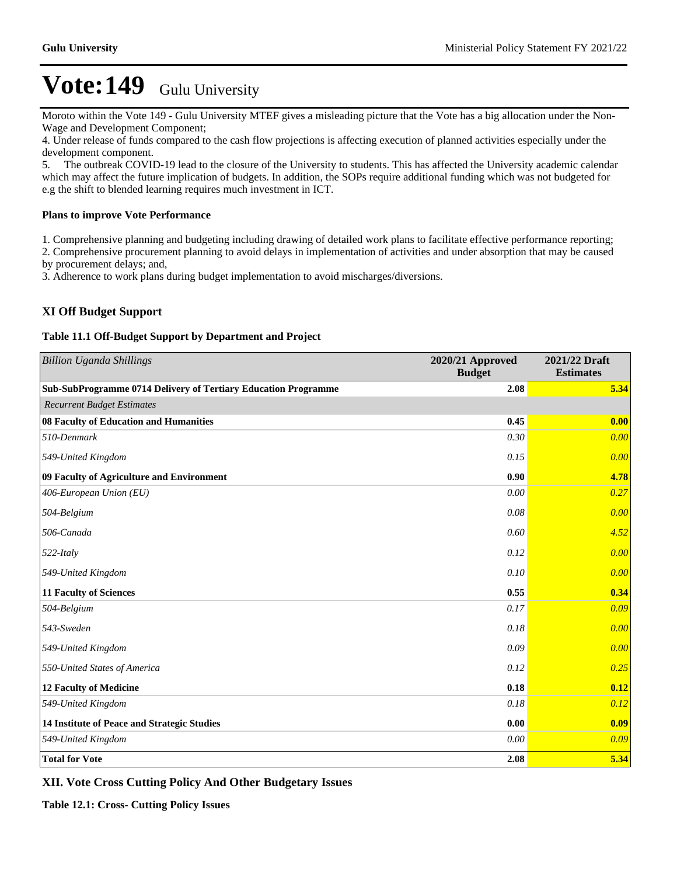Moroto within the Vote 149 - Gulu University MTEF gives a misleading picture that the Vote has a big allocation under the Non-Wage and Development Component;

4. Under release of funds compared to the cash flow projections is affecting execution of planned activities especially under the development component.

5. The outbreak COVID-19 lead to the closure of the University to students. This has affected the University academic calendar which may affect the future implication of budgets. In addition, the SOPs require additional funding which was not budgeted for e.g the shift to blended learning requires much investment in ICT.

### **Plans to improve Vote Performance**

1. Comprehensive planning and budgeting including drawing of detailed work plans to facilitate effective performance reporting;

2. Comprehensive procurement planning to avoid delays in implementation of activities and under absorption that may be caused by procurement delays; and,

3. Adherence to work plans during budget implementation to avoid mischarges/diversions.

### **XI Off Budget Support**

### **Table 11.1 Off-Budget Support by Department and Project**

| <b>Billion Uganda Shillings</b>                                | 2020/21 Approved<br><b>Budget</b> | 2021/22 Draft<br><b>Estimates</b> |
|----------------------------------------------------------------|-----------------------------------|-----------------------------------|
| Sub-SubProgramme 0714 Delivery of Tertiary Education Programme | 2.08                              | 5.34                              |
| <b>Recurrent Budget Estimates</b>                              |                                   |                                   |
| 08 Faculty of Education and Humanities                         | 0.45                              | 0.00                              |
| 510-Denmark                                                    | 0.30                              | 0.00                              |
| 549-United Kingdom                                             | 0.15                              | 0.00                              |
| 09 Faculty of Agriculture and Environment                      | 0.90                              | 4.78                              |
| 406-European Union (EU)                                        | 0.00                              | 0.27                              |
| 504-Belgium                                                    | 0.08                              | 0.00                              |
| 506-Canada                                                     | 0.60                              | 4.52                              |
| $522$ -Italy                                                   | 0.12                              | 0.00                              |
| 549-United Kingdom                                             | 0.10                              | 0.00                              |
| <b>11 Faculty of Sciences</b>                                  | 0.55                              | 0.34                              |
| 504-Belgium                                                    | 0.17                              | 0.09                              |
| 543-Sweden                                                     | 0.18                              | 0.00                              |
| 549-United Kingdom                                             | 0.09                              | 0.00                              |
| 550-United States of America                                   | 0.12                              | 0.25                              |
| 12 Faculty of Medicine                                         | 0.18                              | 0.12                              |
| 549-United Kingdom                                             | 0.18                              | 0.12                              |
| 14 Institute of Peace and Strategic Studies                    | 0.00                              | 0.09                              |
| 549-United Kingdom                                             | 0.00                              | 0.09                              |
| <b>Total for Vote</b>                                          | 2.08                              | 5.34                              |

**XII. Vote Cross Cutting Policy And Other Budgetary Issues**

**Table 12.1: Cross- Cutting Policy Issues**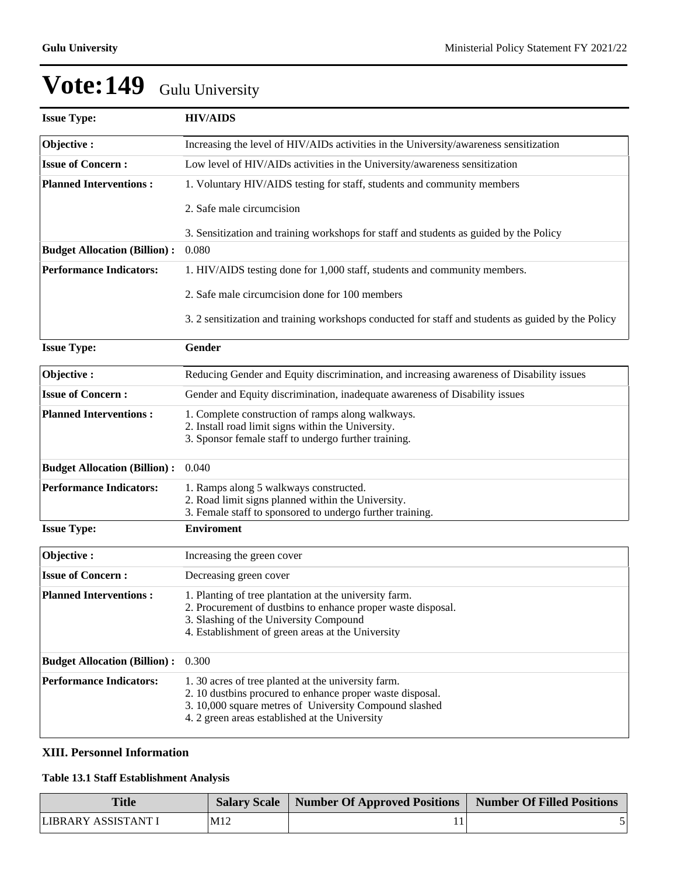| <b>Issue Type:</b>                  | <b>HIV/AIDS</b>                                                                                                                                                                                                             |  |  |
|-------------------------------------|-----------------------------------------------------------------------------------------------------------------------------------------------------------------------------------------------------------------------------|--|--|
| Objective:                          | Increasing the level of HIV/AIDs activities in the University/awareness sensitization                                                                                                                                       |  |  |
| <b>Issue of Concern:</b>            | Low level of HIV/AIDs activities in the University/awareness sensitization                                                                                                                                                  |  |  |
| <b>Planned Interventions:</b>       | 1. Voluntary HIV/AIDS testing for staff, students and community members                                                                                                                                                     |  |  |
|                                     | 2. Safe male circumcision                                                                                                                                                                                                   |  |  |
|                                     | 3. Sensitization and training workshops for staff and students as guided by the Policy                                                                                                                                      |  |  |
| <b>Budget Allocation (Billion):</b> | 0.080                                                                                                                                                                                                                       |  |  |
| <b>Performance Indicators:</b>      | 1. HIV/AIDS testing done for 1,000 staff, students and community members.                                                                                                                                                   |  |  |
|                                     | 2. Safe male circumcision done for 100 members                                                                                                                                                                              |  |  |
|                                     | 3. 2 sensitization and training workshops conducted for staff and students as guided by the Policy                                                                                                                          |  |  |
| <b>Issue Type:</b>                  | Gender                                                                                                                                                                                                                      |  |  |
| Objective:                          | Reducing Gender and Equity discrimination, and increasing awareness of Disability issues                                                                                                                                    |  |  |
| <b>Issue of Concern:</b>            | Gender and Equity discrimination, inadequate awareness of Disability issues                                                                                                                                                 |  |  |
| <b>Planned Interventions:</b>       | 1. Complete construction of ramps along walkways.<br>2. Install road limit signs within the University.<br>3. Sponsor female staff to undergo further training.                                                             |  |  |
| <b>Budget Allocation (Billion):</b> | 0.040                                                                                                                                                                                                                       |  |  |
| <b>Performance Indicators:</b>      | 1. Ramps along 5 walkways constructed.<br>2. Road limit signs planned within the University.<br>3. Female staff to sponsored to undergo further training.                                                                   |  |  |
| <b>Issue Type:</b>                  | <b>Enviroment</b>                                                                                                                                                                                                           |  |  |
| Objective:                          | Increasing the green cover                                                                                                                                                                                                  |  |  |
| <b>Issue of Concern:</b>            | Decreasing green cover                                                                                                                                                                                                      |  |  |
| <b>Planned Interventions:</b>       | 1. Planting of tree plantation at the university farm.<br>2. Procurement of dustbins to enhance proper waste disposal.<br>3. Slashing of the University Compound<br>4. Establishment of green areas at the University       |  |  |
| <b>Budget Allocation (Billion):</b> | 0.300                                                                                                                                                                                                                       |  |  |
| <b>Performance Indicators:</b>      | 1.30 acres of tree planted at the university farm.<br>2. 10 dustbins procured to enhance proper waste disposal.<br>3. 10,000 square metres of University Compound slashed<br>4. 2 green areas established at the University |  |  |

### **XIII. Personnel Information**

### **Table 13.1 Staff Establishment Analysis**

| <b>Title</b>        |     | Salary Scale   Number Of Approved Positions | Number Of Filled Positions |
|---------------------|-----|---------------------------------------------|----------------------------|
| LIBRARY ASSISTANT I | M12 |                                             |                            |